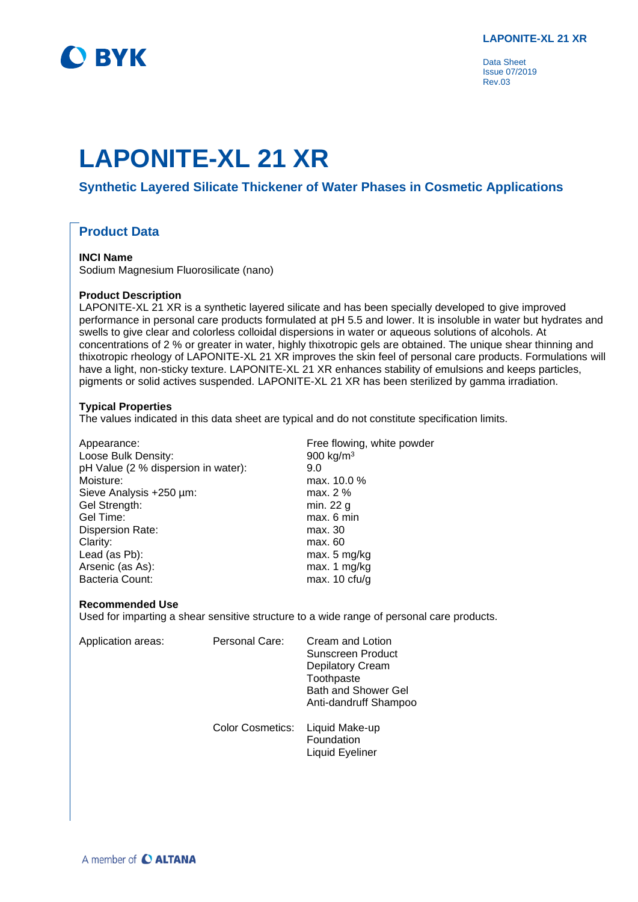

Data Sheet Issue 07/2019 Rev.03

# **LAPONITE-XL 21 XR**

# **Synthetic Layered Silicate Thickener of Water Phases in Cosmetic Applications**

## **Product Data**

## **INCI Name**

Sodium Magnesium Fluorosilicate (nano)

#### **Product Description**

LAPONITE-XL 21 XR is a synthetic layered silicate and has been specially developed to give improved performance in personal care products formulated at pH 5.5 and lower. It is insoluble in water but hydrates and swells to give clear and colorless colloidal dispersions in water or aqueous solutions of alcohols. At concentrations of 2 % or greater in water, highly thixotropic gels are obtained. The unique shear thinning and thixotropic rheology of LAPONITE-XL 21 XR improves the skin feel of personal care products. Formulations will have a light, non-sticky texture. LAPONITE-XL 21 XR enhances stability of emulsions and keeps particles, pigments or solid actives suspended. LAPONITE-XL 21 XR has been sterilized by gamma irradiation.

### **Typical Properties**

The values indicated in this data sheet are typical and do not constitute specification limits.

| Appearance:                         | Free flowing, white powder |
|-------------------------------------|----------------------------|
| Loose Bulk Density:                 | 900 kg/ $m3$               |
| pH Value (2 % dispersion in water): | 9.0                        |
| Moisture:                           | max. 10.0 %                |
| Sieve Analysis +250 µm:             | max. 2 %                   |
| Gel Strength:                       | min. 22 g                  |
| Gel Time:                           | max. 6 min                 |
| <b>Dispersion Rate:</b>             | max. 30                    |
| Clarity:                            | max. 60                    |
| Lead (as Pb):                       | max. 5 mg/kg               |
| Arsenic (as As):                    | max. 1 mg/kg               |
| <b>Bacteria Count:</b>              | max. $10 \text{ c}$ fu/g   |

#### **Recommended Use**

Used for imparting a shear sensitive structure to a wide range of personal care products.

| Application areas: | Personal Care:          | Cream and Lotion<br>Sunscreen Product<br><b>Depilatory Cream</b><br>Toothpaste<br><b>Bath and Shower Gel</b><br>Anti-dandruff Shampoo |
|--------------------|-------------------------|---------------------------------------------------------------------------------------------------------------------------------------|
|                    | <b>Color Cosmetics:</b> | Liquid Make-up<br>Foundation<br>Liquid Eyeliner                                                                                       |